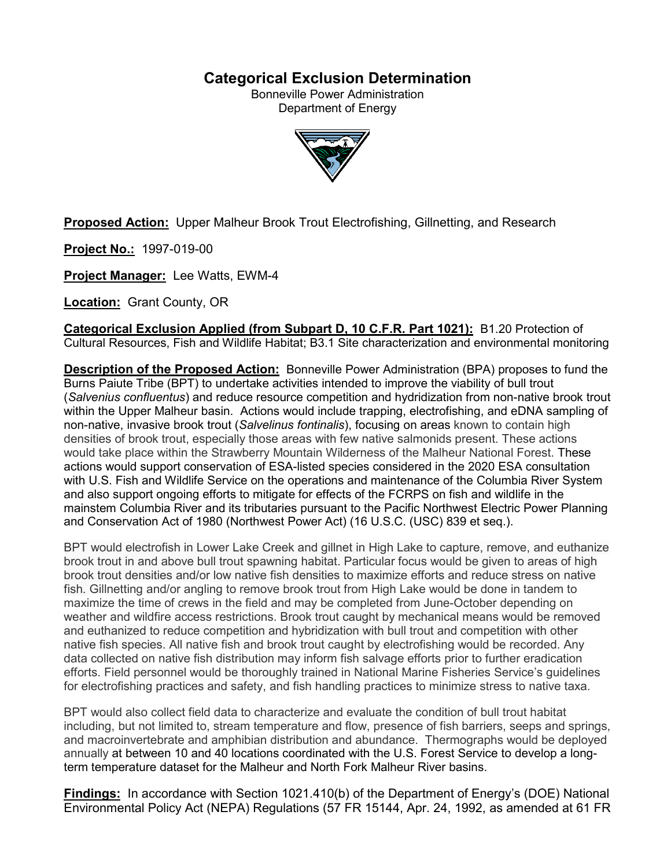# **Categorical Exclusion Determination**

Bonneville Power Administration Department of Energy



**Proposed Action:** Upper Malheur Brook Trout Electrofishing, Gillnetting, and Research

**Project No.:** 1997-019-00

**Project Manager:** Lee Watts, EWM-4

**Location:** Grant County, OR

**Categorical Exclusion Applied (from Subpart D, 10 C.F.R. Part 1021):** B1.20 Protection of Cultural Resources, Fish and Wildlife Habitat; B3.1 Site characterization and environmental monitoring

**Description of the Proposed Action:** Bonneville Power Administration (BPA) proposes to fund the Burns Paiute Tribe (BPT) to undertake activities intended to improve the viability of bull trout (*Salvenius confluentus*) and reduce resource competition and hydridization from non-native brook trout within the Upper Malheur basin. Actions would include trapping, electrofishing, and eDNA sampling of non-native, invasive brook trout (*Salvelinus fontinalis*), focusing on areas known to contain high densities of brook trout, especially those areas with few native salmonids present. These actions would take place within the Strawberry Mountain Wilderness of the Malheur National Forest. These actions would support conservation of ESA-listed species considered in the 2020 ESA consultation with U.S. Fish and Wildlife Service on the operations and maintenance of the Columbia River System and also support ongoing efforts to mitigate for effects of the FCRPS on fish and wildlife in the mainstem Columbia River and its tributaries pursuant to the Pacific Northwest Electric Power Planning and Conservation Act of 1980 (Northwest Power Act) (16 U.S.C. (USC) 839 et seq.).

BPT would electrofish in Lower Lake Creek and gillnet in High Lake to capture, remove, and euthanize brook trout in and above bull trout spawning habitat. Particular focus would be given to areas of high brook trout densities and/or low native fish densities to maximize efforts and reduce stress on native fish. Gillnetting and/or angling to remove brook trout from High Lake would be done in tandem to maximize the time of crews in the field and may be completed from June-October depending on weather and wildfire access restrictions. Brook trout caught by mechanical means would be removed and euthanized to reduce competition and hybridization with bull trout and competition with other native fish species. All native fish and brook trout caught by electrofishing would be recorded. Any data collected on native fish distribution may inform fish salvage efforts prior to further eradication efforts. Field personnel would be thoroughly trained in National Marine Fisheries Service's guidelines for electrofishing practices and safety, and fish handling practices to minimize stress to native taxa.

BPT would also collect field data to characterize and evaluate the condition of bull trout habitat including, but not limited to, stream temperature and flow, presence of fish barriers, seeps and springs, and macroinvertebrate and amphibian distribution and abundance. Thermographs would be deployed annually at between 10 and 40 locations coordinated with the U.S. Forest Service to develop a longterm temperature dataset for the Malheur and North Fork Malheur River basins.

**Findings:** In accordance with Section 1021.410(b) of the Department of Energy's (DOE) National Environmental Policy Act (NEPA) Regulations (57 FR 15144, Apr. 24, 1992, as amended at 61 FR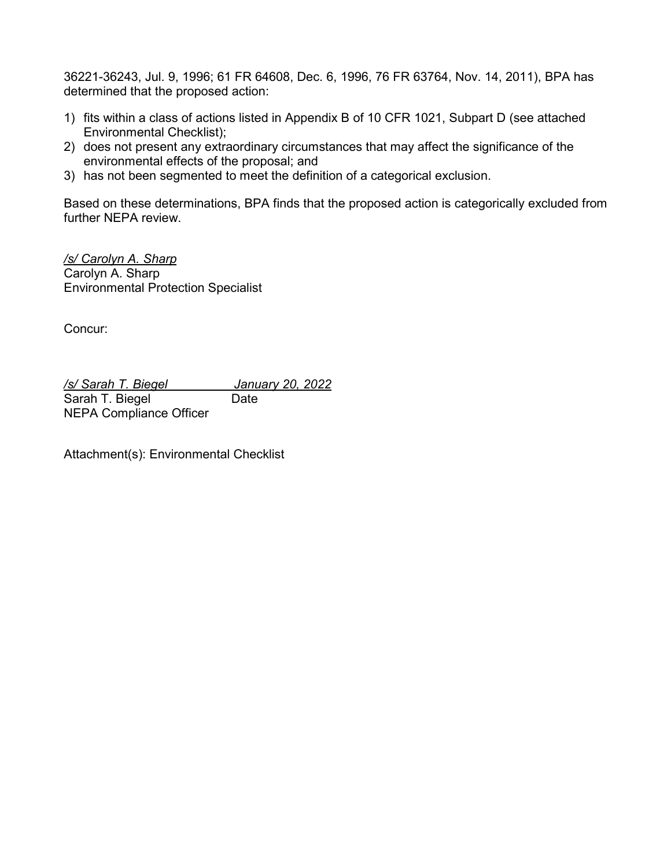36221-36243, Jul. 9, 1996; 61 FR 64608, Dec. 6, 1996, 76 FR 63764, Nov. 14, 2011), BPA has determined that the proposed action:

- 1) fits within a class of actions listed in Appendix B of 10 CFR 1021, Subpart D (see attached Environmental Checklist);
- 2) does not present any extraordinary circumstances that may affect the significance of the environmental effects of the proposal; and
- 3) has not been segmented to meet the definition of a categorical exclusion.

Based on these determinations, BPA finds that the proposed action is categorically excluded from further NEPA review.

*/s/ Carolyn A. Sharp* Carolyn A. Sharp Environmental Protection Specialist

Concur:

*/s/ Sarah T. Biegel January 20, 2022* Sarah T. Biegel Date NEPA Compliance Officer

Attachment(s): Environmental Checklist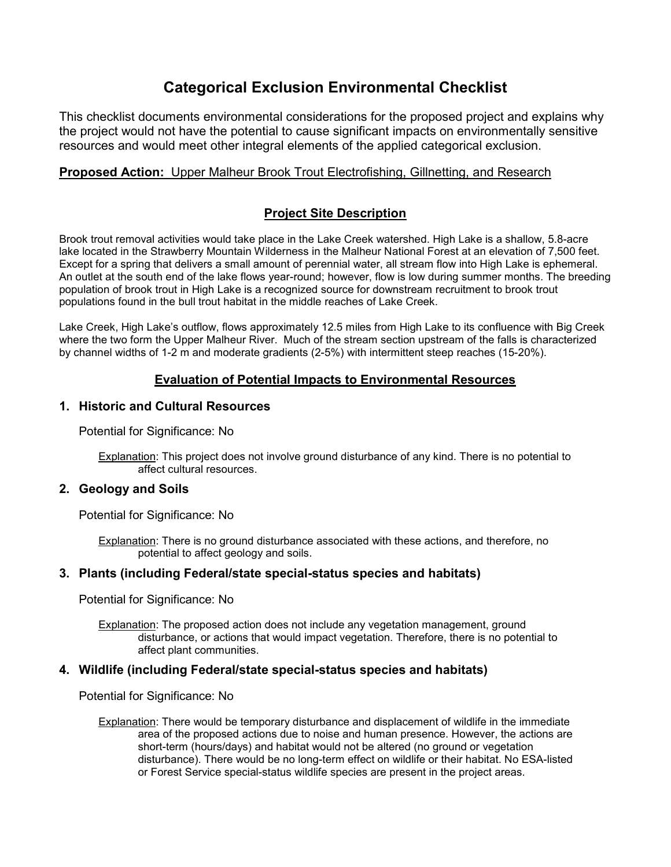# **Categorical Exclusion Environmental Checklist**

This checklist documents environmental considerations for the proposed project and explains why the project would not have the potential to cause significant impacts on environmentally sensitive resources and would meet other integral elements of the applied categorical exclusion.

# **Proposed Action:** Upper Malheur Brook Trout Electrofishing, Gillnetting, and Research

# **Project Site Description**

Brook trout removal activities would take place in the Lake Creek watershed. High Lake is a shallow, 5.8-acre lake located in the Strawberry Mountain Wilderness in the Malheur National Forest at an elevation of 7,500 feet. Except for a spring that delivers a small amount of perennial water, all stream flow into High Lake is ephemeral. An outlet at the south end of the lake flows year-round; however, flow is low during summer months. The breeding population of brook trout in High Lake is a recognized source for downstream recruitment to brook trout populations found in the bull trout habitat in the middle reaches of Lake Creek.

Lake Creek, High Lake's outflow, flows approximately 12.5 miles from High Lake to its confluence with Big Creek where the two form the Upper Malheur River. Much of the stream section upstream of the falls is characterized by channel widths of 1-2 m and moderate gradients (2-5%) with intermittent steep reaches (15-20%).

# **Evaluation of Potential Impacts to Environmental Resources**

## **1. Historic and Cultural Resources**

Potential for Significance: No

Explanation: This project does not involve ground disturbance of any kind. There is no potential to affect cultural resources.

#### **2. Geology and Soils**

Potential for Significance: No

Explanation: There is no ground disturbance associated with these actions, and therefore, no potential to affect geology and soils.

## **3. Plants (including Federal/state special-status species and habitats)**

Potential for Significance: No

Explanation: The proposed action does not include any vegetation management, ground disturbance, or actions that would impact vegetation. Therefore, there is no potential to affect plant communities.

#### **4. Wildlife (including Federal/state special-status species and habitats)**

Potential for Significance: No

Explanation: There would be temporary disturbance and displacement of wildlife in the immediate area of the proposed actions due to noise and human presence. However, the actions are short-term (hours/days) and habitat would not be altered (no ground or vegetation disturbance). There would be no long-term effect on wildlife or their habitat. No ESA-listed or Forest Service special-status wildlife species are present in the project areas.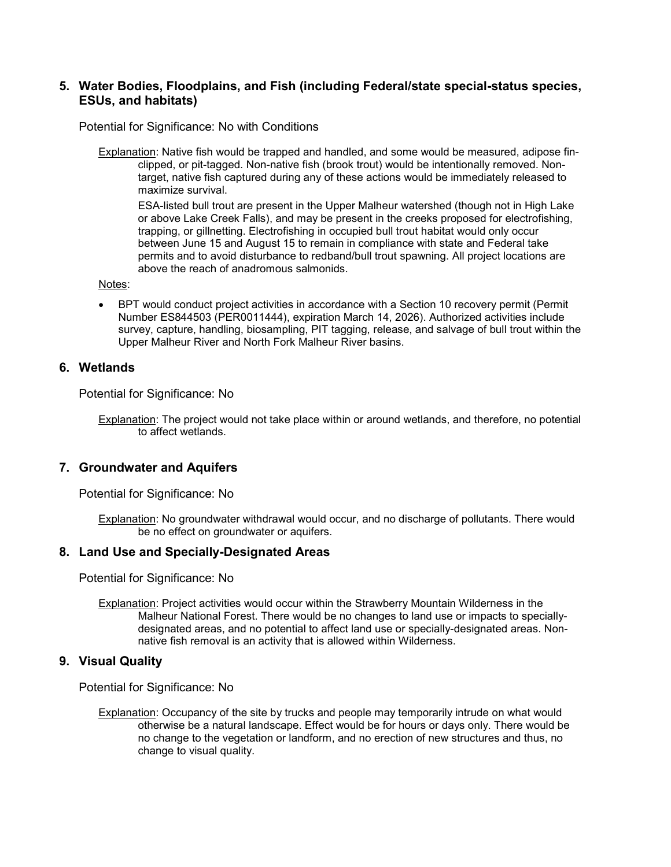## **5. Water Bodies, Floodplains, and Fish (including Federal/state special-status species, ESUs, and habitats)**

Potential for Significance: No with Conditions

Explanation: Native fish would be trapped and handled, and some would be measured, adipose finclipped, or pit-tagged. Non-native fish (brook trout) would be intentionally removed. Nontarget, native fish captured during any of these actions would be immediately released to maximize survival.

ESA-listed bull trout are present in the Upper Malheur watershed (though not in High Lake or above Lake Creek Falls), and may be present in the creeks proposed for electrofishing, trapping, or gillnetting. Electrofishing in occupied bull trout habitat would only occur between June 15 and August 15 to remain in compliance with state and Federal take permits and to avoid disturbance to redband/bull trout spawning. All project locations are above the reach of anadromous salmonids.

Notes:

• BPT would conduct project activities in accordance with a Section 10 recovery permit (Permit Number ES844503 (PER0011444), expiration March 14, 2026). Authorized activities include survey, capture, handling, biosampling, PIT tagging, release, and salvage of bull trout within the Upper Malheur River and North Fork Malheur River basins.

#### **6. Wetlands**

Potential for Significance: No

Explanation: The project would not take place within or around wetlands, and therefore, no potential to affect wetlands.

#### **7. Groundwater and Aquifers**

Potential for Significance: No

Explanation: No groundwater withdrawal would occur, and no discharge of pollutants. There would be no effect on groundwater or aquifers.

#### **8. Land Use and Specially-Designated Areas**

Potential for Significance: No

Explanation: Project activities would occur within the Strawberry Mountain Wilderness in the Malheur National Forest. There would be no changes to land use or impacts to speciallydesignated areas, and no potential to affect land use or specially-designated areas. Nonnative fish removal is an activity that is allowed within Wilderness.

#### **9. Visual Quality**

Potential for Significance: No

Explanation: Occupancy of the site by trucks and people may temporarily intrude on what would otherwise be a natural landscape. Effect would be for hours or days only. There would be no change to the vegetation or landform, and no erection of new structures and thus, no change to visual quality.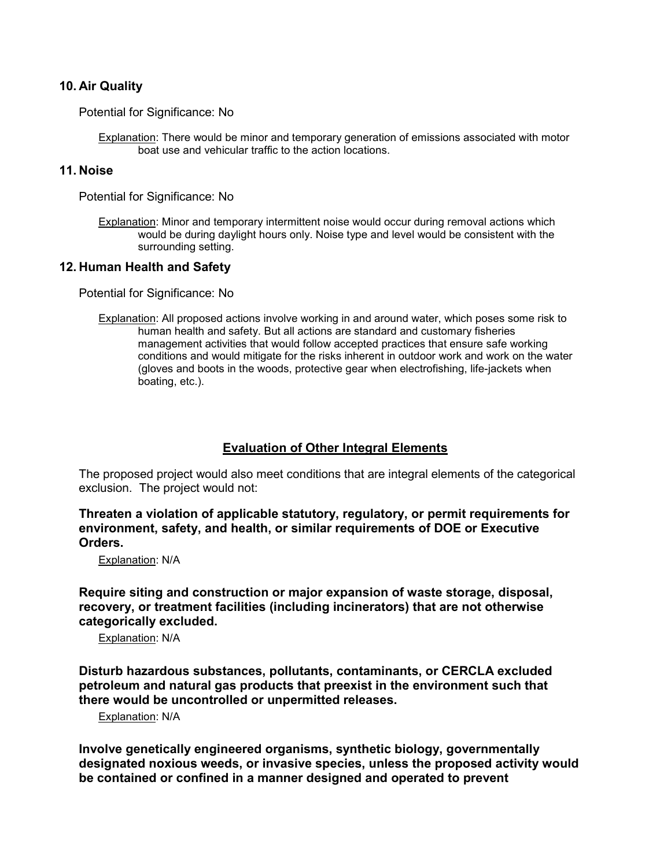### **10. Air Quality**

Potential for Significance: No

Explanation: There would be minor and temporary generation of emissions associated with motor boat use and vehicular traffic to the action locations.

### **11. Noise**

Potential for Significance: No

Explanation: Minor and temporary intermittent noise would occur during removal actions which would be during daylight hours only. Noise type and level would be consistent with the surrounding setting.

#### **12. Human Health and Safety**

Potential for Significance: No

Explanation: All proposed actions involve working in and around water, which poses some risk to human health and safety. But all actions are standard and customary fisheries management activities that would follow accepted practices that ensure safe working conditions and would mitigate for the risks inherent in outdoor work and work on the water (gloves and boots in the woods, protective gear when electrofishing, life-jackets when boating, etc.).

## **Evaluation of Other Integral Elements**

The proposed project would also meet conditions that are integral elements of the categorical exclusion. The project would not:

**Threaten a violation of applicable statutory, regulatory, or permit requirements for environment, safety, and health, or similar requirements of DOE or Executive Orders.**

Explanation: N/A

**Require siting and construction or major expansion of waste storage, disposal, recovery, or treatment facilities (including incinerators) that are not otherwise categorically excluded.**

Explanation: N/A

**Disturb hazardous substances, pollutants, contaminants, or CERCLA excluded petroleum and natural gas products that preexist in the environment such that there would be uncontrolled or unpermitted releases.**

Explanation: N/A

**Involve genetically engineered organisms, synthetic biology, governmentally designated noxious weeds, or invasive species, unless the proposed activity would be contained or confined in a manner designed and operated to prevent**